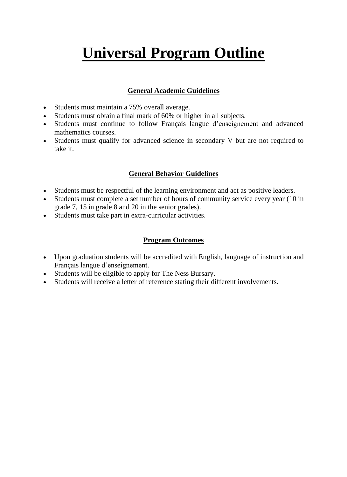# **Universal Program Outline**

## **General Academic Guidelines**

- Students must maintain a 75% overall average.
- Students must obtain a final mark of 60% or higher in all subjects.
- Students must continue to follow Français langue d'enseignement and advanced mathematics courses.
- Students must qualify for advanced science in secondary V but are not required to take it.

### **General Behavior Guidelines**

- Students must be respectful of the learning environment and act as positive leaders.
- Students must complete a set number of hours of community service every year (10 in grade 7, 15 in grade 8 and 20 in the senior grades).
- Students must take part in extra-curricular activities.

#### **Program Outcomes**

- Upon graduation students will be accredited with English, language of instruction and Français langue d'enseignement.
- Students will be eligible to apply for The Ness Bursary.
- Students will receive a letter of reference stating their different involvements**.**